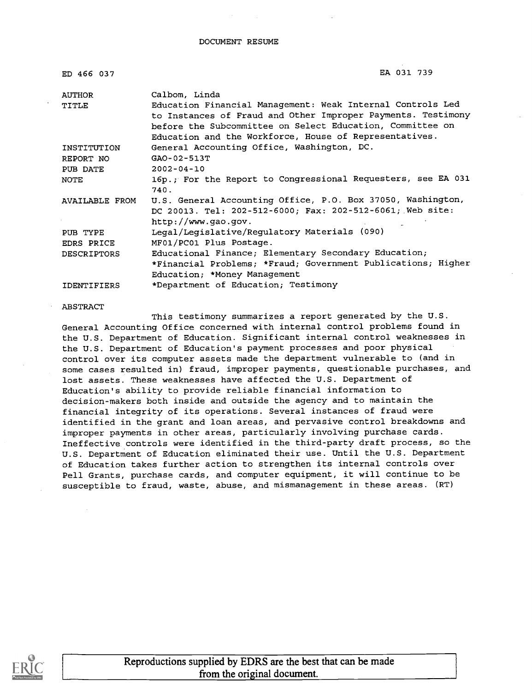DOCUMENT RESUME

| ED 466 037            | EA 031 739                                                                                                                                                                                                                                                         |
|-----------------------|--------------------------------------------------------------------------------------------------------------------------------------------------------------------------------------------------------------------------------------------------------------------|
| AUTHOR<br>TITLE       | Calbom, Linda<br>Education Financial Management: Weak Internal Controls Led<br>to Instances of Fraud and Other Improper Payments. Testimony<br>before the Subcommittee on Select Education, Committee on<br>Education and the Workforce, House of Representatives. |
| INSTITUTION           | General Accounting Office, Washington, DC.                                                                                                                                                                                                                         |
| REPORT NO             | GAO-02-513T                                                                                                                                                                                                                                                        |
| PUB DATE              | $2002 - 04 - 10$                                                                                                                                                                                                                                                   |
| NOTE                  | 16p., For the Report to Congressional Requesters, see EA 031<br>740.                                                                                                                                                                                               |
| <b>AVAILABLE FROM</b> | U.S. General Accounting Office, P.O. Box 37050, Washington,<br>DC 20013. Tel: 202-512-6000; Fax: 202-512-6061; Web site:<br>http://www.gao.gov.                                                                                                                    |
| PUB TYPE              | Legal/Legislative/Regulatory Materials (090)                                                                                                                                                                                                                       |
| EDRS PRICE            | MF01/PC01 Plus Postage.                                                                                                                                                                                                                                            |
| <b>DESCRIPTORS</b>    | Educational Finance; Elementary Secondary Education;                                                                                                                                                                                                               |
|                       | *Financial Problems; *Fraud; Government Publications; Higher                                                                                                                                                                                                       |
|                       | Education; *Money Management                                                                                                                                                                                                                                       |
| <b>IDENTIFIERS</b>    | *Department of Education; Testimony                                                                                                                                                                                                                                |

#### ABSTRACT

This testimony summarizes a report generated by the U.S. General Accounting Office concerned with internal control problems found in the U.S. Department of Education. Significant internal control weaknesses in the U.S. Department of Education's payment processes and poor physical control over its computer assets made the department vulnerable to (and in some cases resulted in) fraud, improper payments, questionable purchases, and lost assets. These weaknesses have affected the U.S. Department of Education's ability to provide reliable financial information to decision-makers both inside and outside the agency and to maintain the financial integrity of its operations. Several instances of fraud were identified in the grant and loan areas, and pervasive control breakdowns and improper payments in other areas, particularly involving purchase cards. Ineffective controls were identified in the third-party draft process, so the U.S. Department of Education eliminated their use. Until the U.S. Department of Education takes further action to strengthen its internal controls over Pell Grants, purchase cards, and computer equipment, it will continue to be susceptible to fraud, waste, abuse, and mismanagement in these areas. (RT)



Reproductions supplied by EDRS are the best that can be made from the original document.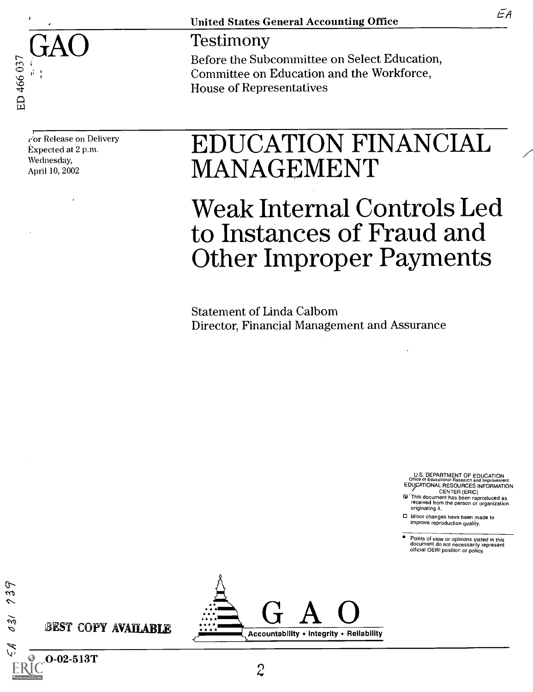

United States General Accounting Office

 $\operatorname{GAO} \qquad \qquad \begin{array}{c} \text{Testimony} \ \text{Before the Subcommitte on Select Education,} \end{array}$ Committee on Education and the Workforce, House of Representatives

1:'or Release on Delivery Expected at 2 p.m. Wednesday, April 10, 2002

BEST COPY AVAILABLE

 $\mathbf{O}\text{-}\mathbf{02}\text{-}\mathbf{513}\mathbf{T}$ 

ᢗ m

 $\delta$ 31

# EDUCATION FINANCIAL MANAGEMENT

# Weak Internal Controls Led to Instances of Fraud and Other Improper Payments

Statement of Linda Calbom Director, Financial Management and Assurance

U.S. DEPARTMENT OF EDUCATION Office of Educational Research and Improvement EDUCATIONAL RESOURCES INFORMATION

CENTER (ERIC) G1' This document has been reproduced as received from the person or organization originating it.

□ Minor changes have been made to improve reproduction quality.

Points of view or opinions stated in this document do not necessarily represent official OERI position or policy.



ĒА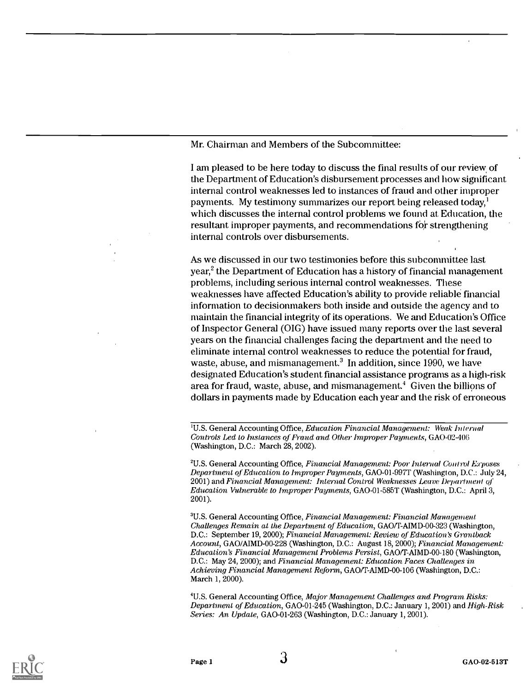Mr. Chairman and Members of the Subcommittee:

I am pleased to be here today to discuss the final results of our review of the Department of Education's disbursement processes and how significant internal control weaknesses led to instances of fraud and other improper payments. My testimony summarizes our report being released today,' which discusses the internal control problems we found at Education, the resultant improper payments, and recommendations for strengthening internal controls over disbursements.

As we discussed in our two testimonies before this subcommittee last year,<sup>2</sup> the Department of Education has a history of financial management problems, including serious internal control weaknesses. These weaknesses have affected Education's ability to provide reliable financial information to decisionmakers both inside and outside the agency and to maintain the financial integrity of its operations. We and Education's Office of Inspector General (01G) have issued many reports over the last several years on the financial challenges facing the department and the need to eliminate internal control weaknesses to reduce the potential for fraud, waste, abuse, and mismanagement. $3 \text{ In addition, since } 1990$ , we have designated Education's student financial assistance programs as a high-risk area for fraud, waste, abuse, and mismanagement.' Given the billions of dollars in payments made by Education each year and the risk of erroneous

<sup>1</sup>U.S. General Accounting Office, Education Financial Management: Weak Internal Controls Led to Instances of Fraud and Other Improper Payments, GAO-02-406 (Washington, D.C.: March 28, 2002).

<sup>2</sup>U.S. General Accounting Office, Financial Management: Poor Internal Control Exposes Department of Education to Improper Payments, GAO-01-997T (Washington, D.C.: July 24, 2001) and Financial Management: Internal Control Weaknesses Leave Department of Education Vulnerable to Improper Payments, GAO-01-585T (Washington, D.C.: April 3, 2001).

<sup>3</sup>U.S. General Accounting Office, Financial Management: Financial Management Challenges Remain at the Department of Education, GAO/T-AIMD-00-323 (Washington, D.C.: September 19, 2000); Financial Management: Review of Education's Grantback Account, GAO/AIMD-00-228 (Washington, D.C.: August 18, 2000); Financial Management: Education's Financial Management Problems Persist, GAO/T-AIMD-00-180 (Washington, D.C.: May 24, 2000); and Financial Management: Education Faces Challenges in Achieving Financial Management Reform, GAO/T-AIMD-00-106 (Washington, D.C.: March 1, 2000).

4U.S. General Accounting Office, Major Management Challenges and Program, Risks: Department of Education, GAO-01-245 (Washington, D.C.: January 1, 2001) and High-Risk Series: An Update, GAO-01-263 (Washington, D.C.: January 1, 2001).

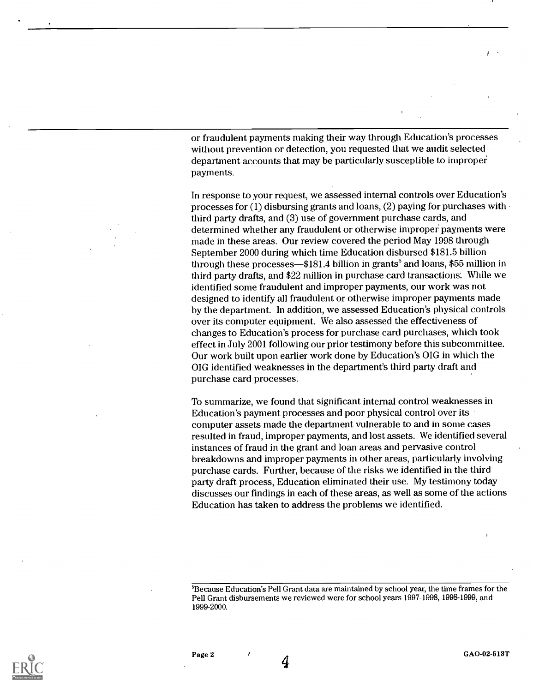or fraudulent payments making their way through Education's processes without prevention or detection, you requested that we audit selected department accounts that may be particularly susceptible to improper payments.

In response to your request, we assessed internal controls over Education's processes for (1) disbursing grants and loans, (2) paying for purchases with third party drafts, and (3) use of government purchase cards, and determined whether any fraudulent or otherwise improper payments were made in these areas. Our review covered the period May 1998 through September 2000 during which time Education disbursed \$181.5 billion through these processes—\$181.4 billion in grants<sup>5</sup> and loans, \$55 million in third party drafts, and \$22 million in purchase card transactions. While we identified some fraudulent and improper payments, our work was not designed to identify all fraudulent or otherwise improper payments made by the department. In addition, we assessed Education's physical controls over its computer equipment. We also assessed the effectiveness of changes to Education's process for purchase card purchases, which took effect in July 2001 following our prior testimony before this subcommittee. Our work built upon earlier work done by Education's OIG in which the OIG identified weaknesses in the department's third party draft and purchase card processes.

To summarize, we found that significant internal control weaknesses in Education's payment processes and poor physical control over its computer assets made the department vulnerable to and in some cases resulted in fraud, improper payments, and lost assets. We identified several instances of fraud in the grant and loan areas and pervasive control breakdowns and improper payments in other areas, particularly involving purchase cards. Further, because of the risks we identified in the third party draft process, Education eliminated their use. My testimony today discusses our findings in each of these areas, as well as some of the actions Education has taken to address the problems we identified.



Page 2  $\overline{G}$  GAO-02-513T

<sup>&#</sup>x27;Because Education's Pell Grant data are maintained by school year, the time frames for the Pell Grant disbursements we reviewed were for school years 1997-1998, 1998-1999, and 1999-2000.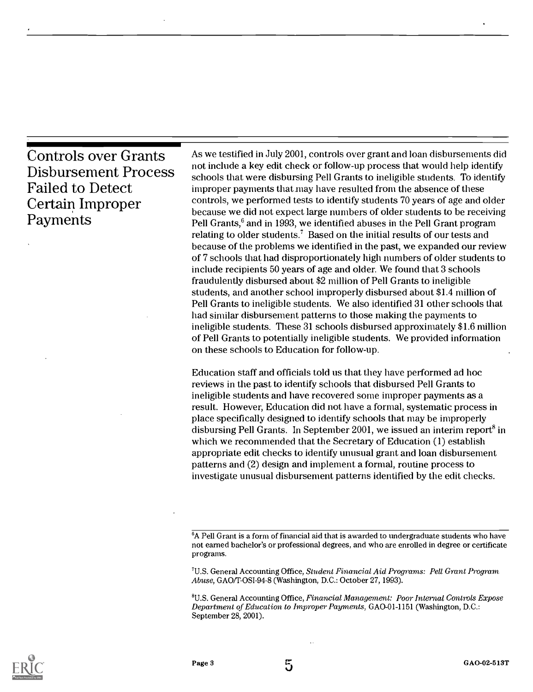Controls over Grants Disbursement Process Failed to Detect Certain Improper Payments

As we testified in July 2001, controls over grant and loan disbursements did not include a key edit check or follow-up process that would help identify schools that were disbursing Pell Grants to ineligible students. To identify improper payments that may have resulted from the absence of these controls, we performed tests to identify students 70 years of age and older because we did not expect large numbers of older students to be receiving Pell Grants, $6$  and in 1993, we identified abuses in the Pell Grant program relating to older students.<sup>7</sup> Based on the initial results of our tests and because of the problems we identified in the past, we expanded our review of 7 schools that had disproportionately high numbers of older students to include recipients 50 years of age and older. We found that 3 schools fraudulently disbursed about \$2 million of Pell Grants to ineligible students, and another school improperly disbursed about \$1.4 million of Pell Grants to ineligible students. We also identified 31 other schools that had similar disbursement patterns to those making the payments to ineligible students. These 31 schools disbursed approximately \$1.6 million of Pell Grants to potentially ineligible students. We provided information on these schools to Education for follow-up.

Education staff and officials told us that they have performed ad hoc reviews in the past to identify schools that disbursed Pell Grants to ineligible students and have recovered some improper payments as a result. However, Education did not have a formal, systematic process in place specifically designed to identify schools that may be improperly disbursing Pell Grants. In September 2001, we issued an interim report<sup>8</sup> in which we recommended that the Secretary of Education (1) establish appropriate edit checks to identify unusual grant and loan disbursement patterns and (2) design and implement a formal, routine process to investigate unusual disbursement patterns identified by the edit checks.

6A Pell Grant is a form of financial aid that is awarded to undergraduate students who have not earned bachelor's or professional degrees, and who are enrolled in degree or certificate programs.

'U.S. General Accounting Office, Student Financial Aid Programs: Pell Grant Program Abuse, GAO/T-OSI-94-8 (Washington, D.C.: October 27, 1993).

8U.S. General Accounting Office, Financial Management: Poor Internal Controls Expose Department of Education to Improper Payments, GAO-01-1151 (Washington, D.C.: September 28, 2001).

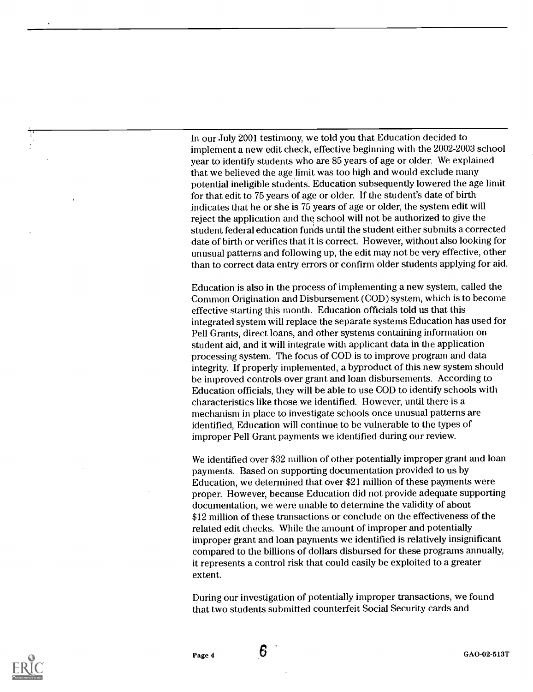In our July 2001 testimony, we told you that Education decided to implement a new edit check, effective beginning with the 2002-2003 school year to identify students who are 85 years of age or older. We explained that we believed the age limit was too high and would exclude many potential ineligible students. Education subsequently lowered the age limit for that edit to 75 years of age or older. If the student's date of birth indicates that he or she is 75 years of age or older, the system edit will reject the application and the school will not be authorized to give the student federal education funds until the student either submits a corrected date of birth or verifies that it is correct. However, without also looking for unusual patterns and following up, the edit may not be very effective, other than to correct data entry errors or confirm older students applying for aid.

Education is also in the process of implementing a new system, called the Common Origination and Disbursement (COD) system, which is to become effective starting this month. Education officials told us that this integrated system will replace the separate systems Education has used for Pell Grants, direct loans, and other systems containing information on student aid, and it will integrate with applicant data in the application processing system. The focus of COD is to improve program and data integrity. If properly implemented, a byproduct of this new system should be improved controls over grant and loan disbursements. According to Education officials, they will be able to use COD to identify schools with characteristics like those we identified. However, until there is a mechanism in place to investigate schools once unusual patterns are identified, Education will continue to be vulnerable to the types of improper Pell Grant payments we identified during our review.

We identified over \$32 million of other potentially improper grant and loan payments. Based on supporting documentation provided to us by Education, we determined that over \$21 million of these payments were proper. However, because Education did not provide adequate supporting documentation, we were unable to determine the validity of about \$12 million of these transactions or conclude on the effectiveness of the related edit checks. While the amount of improper and potentially improper grant and loan payments we identified is relatively insignificant compared to the billions of dollars disbursed for these programs annually, it represents a control risk that could easily be exploited to a greater extent.

During our investigation of potentially improper transactions, we found that two students submitted counterfeit Social Security cards and

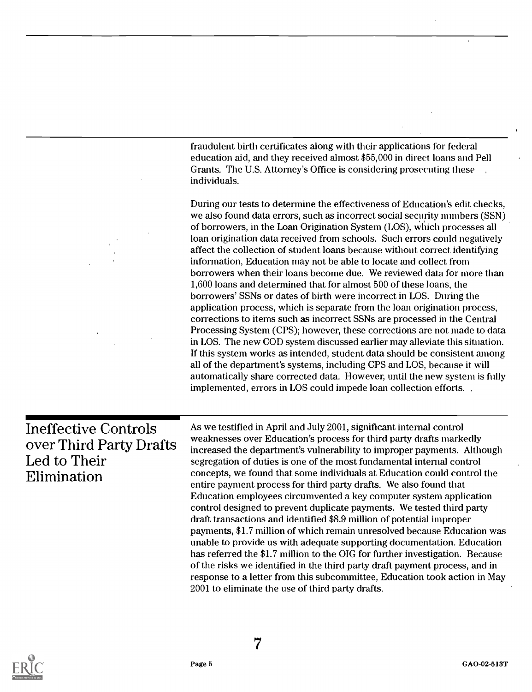|                                                                                       | fraudulent birth certificates along with their applications for federal<br>education aid, and they received almost \$55,000 in direct loans and Pell<br>Grants. The U.S. Attorney's Office is considering prosecuting these<br>individuals.<br>During our tests to determine the effectiveness of Education's edit checks,<br>we also found data errors, such as incorrect social security mimbers (SSN)<br>of borrowers, in the Loan Origination System (LOS), which processes all<br>loan origination data received from schools. Such errors could negatively<br>affect the collection of student loans because without correct identifying<br>information, Education may not be able to locate and collect from<br>borrowers when their loans become due. We reviewed data for more than<br>1,600 loans and determined that for almost 500 of these loans, the<br>borrowers' SSNs or dates of birth were incorrect in LOS. During the<br>application process, which is separate from the loan origination process,<br>corrections to items such as incorrect SSNs are processed in the Central<br>Processing System (CPS); however, these corrections are not made to data<br>in LOS. The new COD system discussed earlier may alleviate this situation.<br>If this system works as intended, student data should be consistent among<br>all of the department's systems, including CPS and LOS, because it will<br>automatically share corrected data. However, until the new system is fully<br>implemented, errors in LOS could impede loan collection efforts. |
|---------------------------------------------------------------------------------------|------------------------------------------------------------------------------------------------------------------------------------------------------------------------------------------------------------------------------------------------------------------------------------------------------------------------------------------------------------------------------------------------------------------------------------------------------------------------------------------------------------------------------------------------------------------------------------------------------------------------------------------------------------------------------------------------------------------------------------------------------------------------------------------------------------------------------------------------------------------------------------------------------------------------------------------------------------------------------------------------------------------------------------------------------------------------------------------------------------------------------------------------------------------------------------------------------------------------------------------------------------------------------------------------------------------------------------------------------------------------------------------------------------------------------------------------------------------------------------------------------------------------------------------------------------------------|
| <b>Ineffective Controls</b><br>over Third Party Drafts<br>Led to Their<br>Elimination | As we testified in April and July 2001, significant internal control<br>weaknesses over Education's process for third party drafts markedly<br>increased the department's vulnerability to improper payments. Although<br>segregation of duties is one of the most fundamental internal control<br>concepts, we found that some individuals at Education could control the<br>entire payment process for third party drafts. We also found that<br>Education employees circumvented a key computer system application<br>control designed to prevent duplicate payments. We tested third party<br>draft transactions and identified \$8.9 million of potential improper<br>payments, \$1.7 million of which remain unresolved because Education was<br>unable to provide us with adequate supporting documentation. Education<br>has referred the \$1.7 million to the OIG for further investigation. Because<br>of the risks we identified in the third party draft payment process, and in<br>response to a letter from this subcommittee, Education took action in May<br>2001 to eliminate the use of third party drafts.                                                                                                                                                                                                                                                                                                                                                                                                                                          |



 $\bar{z}$ 

 $\overline{a}$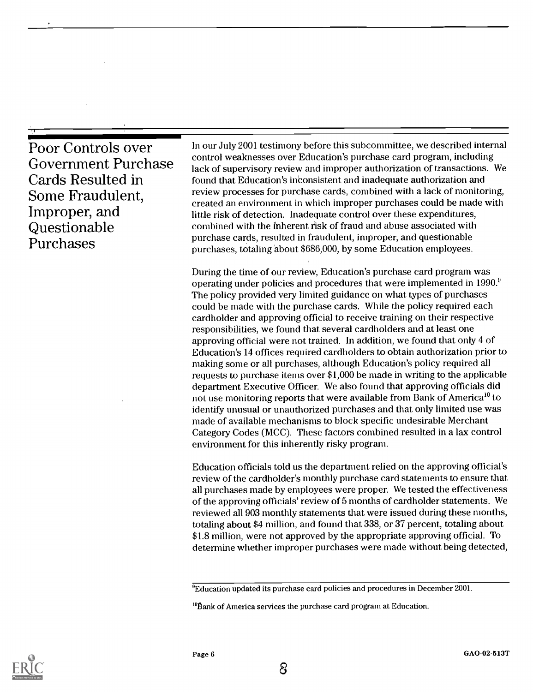| Poor Controls over         | In our           |
|----------------------------|------------------|
| <b>Government Purchase</b> | contr<br>lack o  |
| Cards Resulted in          | found            |
| Some Fraudulent,           | review           |
|                            | create           |
| Improper, and              | little 1<br>comb |
| Questionable               | purch            |
| Purchases                  | purch            |

Government Purchase lack of supervisory review and improper authorization of transactions. We In our July 2001 testimony before this subcommittee, we described internal control weaknesses over Education's purchase card program, including found that Education's iii'consistent and inadequate authorization and review processes for purchase cards, combined with a lack of monitoring, created an environment in which improper purchases could be made with little risk of detection. Inadequate control over these expenditures, combined with the inherent risk of fraud and abuse associated with purchase cards, resulted in fraudulent, improper, and questionable purchases, totaling about \$686,000, by some Education employees.

> During the time of our review, Education's purchase card program was operating under policies and procedures that were implemented in 1990.° The policy provided very limited guidance on what types of purchases could be made with the purchase cards. While the policy required each cardholder and approving official to receive training on their respective responsibilities, we found that several cardholders and at least one approving official were not trained. In addition, we found that only 4 of Education's 14 offices required cardholders to obtain authorization prior to making some or all purchases, although Education's policy required all requests to purchase items over \$1,000 be made in writing to the applicable department Executive Officer. We also found that approving officials did not use monitoring reports that were available from Bank of America<sup>10</sup> to identify unusual or unauthorized purchases and that only limited use was made of available mechanisms to block specific undesirable Merchant Category Codes (MCC). These factors combined resulted in a lax control environment for this inherently risky program.

> Education officials told us the department relied on the approving official's review of the cardholder's monthly purchase card statements to ensure that all purchases made by employees were proper. We tested the effectiveness of the approving officials' review of 5 months of cardholder statements. We reviewed all 903 monthly statements that were issued during these months, totaling about \$4 million, and found that 338, or 37 percent, totaling about \$1.8 million, were not approved by the appropriate approving official. To determine whether improper purchases were made without being detected,



<sup>&#</sup>x27;Education updated its purchase card policies and procedures in December 2001.

<sup>&#</sup>x27;Bank of America services the purchase card program at Education.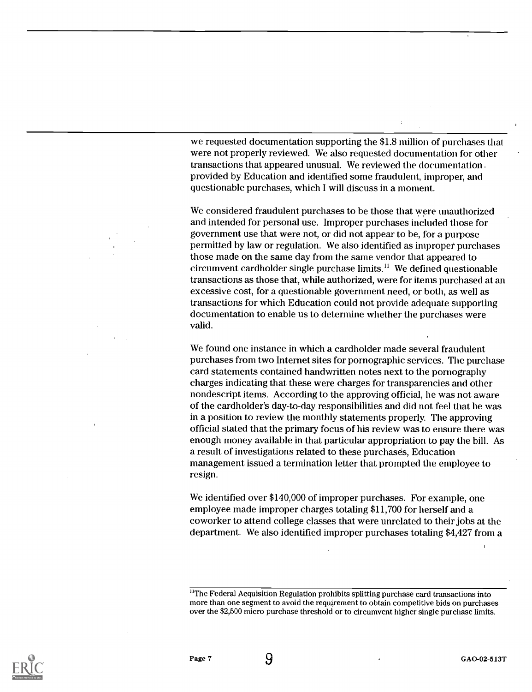we requested documentation supporting the \$1.8 million of purchases that were not properly reviewed. We also requested documentation for other transactions that appeared unusual. We reviewed the documentation provided by Education and identified some fraudulent, improper, and questionable purchases, which I will discuss in a moment.

We considered fraudulent purchases to be those that were unauthorized and intended for personal use. Improper purchases included those for government use that were not, or did not appear to be, for a purpose permitted by law or regulation. We also identified as improper purchases those made on the same day from the same vendor that appeared to circumvent cardholder single purchase limits.<sup>11</sup> We defined questionable transactions as those that, while authorized, were for items purchased at an excessive cost, for a questionable government need, or both, as well as transactions for which Education could not provide adequate supporting documentation to enable us to determine whether the purchases were valid.

We found one instance in which a cardholder made several fraudulent purchases from two Internet sites for pornographic services. The purchase card statements contained handwritten notes next to the pornography charges indicating that these were charges for transparencies and other nondescript items. According to the approving official, he was not aware of the cardholder's day-to-day responsibilities and did not feel that he was in a position to review the monthly statements properly. The approving official stated that the primary focus of his review was to ensure there was enough money available in that particular appropriation to pay the bill. As a result of investigations related to these purchases, Education management issued a termination letter that prompted the employee to resign.

We identified over \$140,000 of improper purchases. For example, one employee made improper charges totaling \$11,700 for herself and a coworker to attend college classes that were unrelated to their jobs at the department. We also identified improper purchases totaling \$4,427 from a



<sup>&</sup>lt;sup>11</sup>The Federal Acquisition Regulation prohibits splitting purchase card transactions into more than one segment to avoid the requirement to obtain competitive bids on purchases over the \$2,500 micro-purchase threshold or to circumvent higher single purchase limits.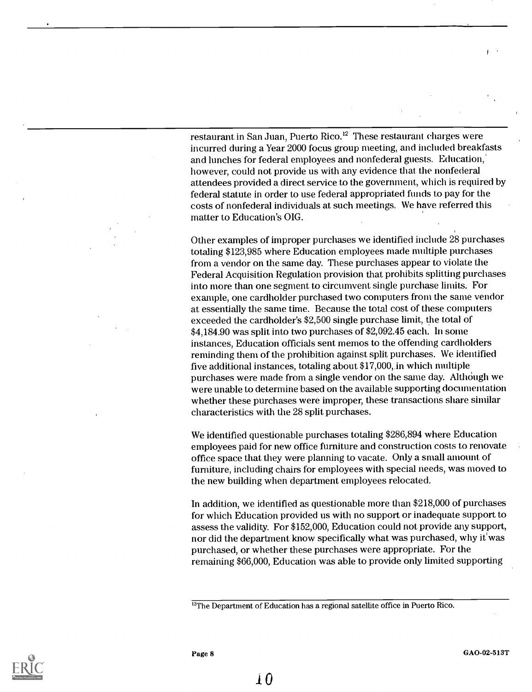restaurant in San Juan, Puerto Rico.<sup>12</sup> These restaurant charges were incurred during a Year 2000 focus group meeting, and included breakfasts and lunches for federal employees and nonfederal guests. Education,' however, could not provide us with any evidence that the nonfederal attendees provided a direct service to the government, which is required by federal statute in order to use federal appropriated funds to pay for the costs of nonfederal individuals at such meetings. We have referred this matter to Education's OIG.

Other examples of improper purchases we identified include 28 purchases totaling \$123,985 where Education employees made multiple purchases from a vendor on the same day. These purchases appear to violate the Federal Acquisition Regulation provision that prohibits splitting purchases into more than one segment to circumvent single purchase limits. For example, one cardholder purchased two computers from the same vendor at essentially the same time. Because the total cost of these computers exceeded the cardholder's \$2,500 single purchase limit, the total of \$4,184.90 was split into two purchases of \$2,092.45 each. In some instances, Education officials sent memos to the offending cardholders reminding them of the prohibition against split purchases. We identified five additional instances, totaling about \$17,000,.in which multiple purchases were made from a single vendor on the same day. Although we were unable to determine based on the available supporting documentation whether these purchases were improper, these transactions share similar characteristics with the 28 split purchases.

We identified questionable purchases totaling \$286,894 where Education employees paid for new office furniture and construction costs to renovate office space that they were planning to vacate. Only a small amount of furniture, including chairs for employees with special needs, was moved to the new building when department employees relocated.

In addition, we identified as questionable more than \$218,000 of purchases for which Education provided us with no support or inadequate support to assess the validity. For \$152,000, Education could not provide any support, nor did the department know specifically what was purchased, why it'was purchased, or whether these purchases were appropriate. For the remaining \$66,000, Education was able to provide only limited supporting



<sup>&</sup>lt;sup>12</sup>The Department of Education has a regional satellite office in Puerto Rico.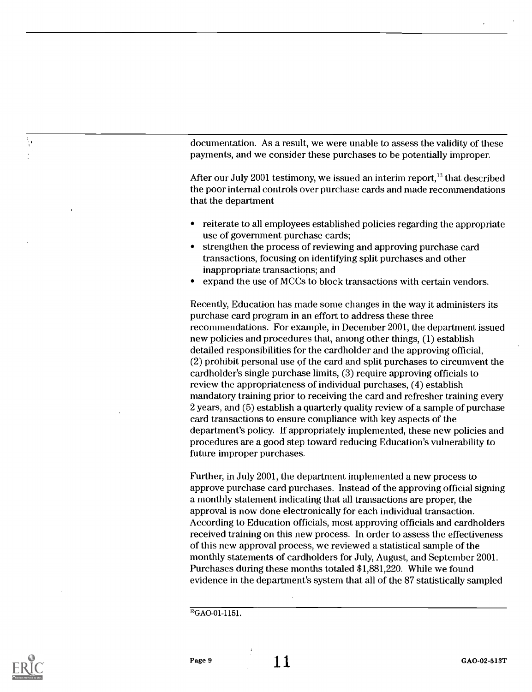documentation. As a result, we were unable to assess the validity of these payments, and we consider these purchases to be potentially improper.

After our July 2001 testimony, we issued an interim report,  $^{13}$  that described the poor internal controls over purchase cards and made recommendations that the department

- reiterate to all employees established policies regarding the appropriate use of government purchase cards;
- strengthen the process of reviewing and approving purchase card transactions, focusing on identifying split purchases and other inappropriate transactions; and
- expand the use of MCCs to block transactions with certain vendors.

Recently, Education has made some changes in the way it administers its purchase card program in an effort to address these three recommendations. For example, in December 2001, the department issued new policies and procedures that, among other things, (1) establish detailed responsibilities for the cardholder and the approving official, (2) prohibit personal use of the card and split purchases to circumvent the cardholder's single purchase limits, (3) require approving officials to review the appropriateness of individual purchases, (4) establish mandatory training prior to receiving the card and refresher training every 2 years, and (5) establish a quarterly quality review of a sample of purchase card transactions to ensure compliance with key aspects of the department's policy. If appropriately implemented, these new policies and procedures are a good step toward reducing Education's vulnerability to future improper purchases.

Further, in July 2001, the department implemented a new process to approve purchase card purchases. Instead of the approving official signing a monthly statement indicating that all transactions are proper, the approval is now done electronically for each individual transaction. According to Education officials, most approving officials and cardholders received training on this new process. In order to assess the effectiveness of this new approval process, we reviewed a statistical sample of the monthly statements of cardholders for July, August, and September 2001. Purchases during these months totaled \$1,881,220. While we found evidence in the department's system that all of the 87 statistically sampled

 $13$ <sub>GAO-01-1151</sub>.



W

 $\mathbf{r}$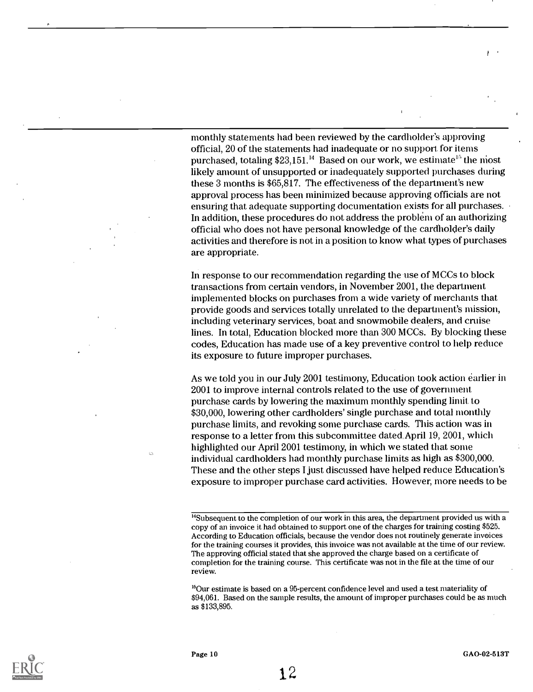monthly statements had been reviewed by the cardholder's approving official, 20 of the statements had inadequate or no support for items purchased, totaling  $$23,151<sup>14</sup>$  Based on our work, we estimate<sup>15</sup> the most likely amount of unsupported or inadequately supported purchases during these 3 months is \$65,817. The effectiveness of the department's new approval process has been minimized because approving officials are not ensuring that adequate supporting documentation exists for all purchases. In addition, these procedures do not address the problem of an authorizing official who does not have personal knowledge of the cardholder's daily activities and therefore is not in a position to know what types of purchases are appropriate.

In response to our recommendation regarding the use of MCCs to block transactions from certain vendors, in November 2001, the department implemented blocks on purchases from a wide variety of merchants that provide goods and services totally unrelated to the department's mission, including veterinary services, boat and snowmobile dealers, and cruise lines. In total, Education blocked more than 300 MCCs. By blocking these codes, Education has made use of a key preventive control to help reduce its exposure to future improper purchases.

As we told you in our July 2001 testimony, Education took action earlier in 2001 to improve internal controls related to the use of government. purchase cards by lowering the maximum monthly spending limit to \$30,000, lowering other cardholders' single purchase and total monthly purchase limits, and revoking some purchase cards. This action was in response to a letter from this subcommittee dated, April 19, 2001, which highlighted our April 2001 testimony, in which we stated that some individual cardholders had monthly purchase limits as high as \$300,000. These and the other steps I just discussed have helped reduce Education's exposure to improper purchase card activities. However, more needs to be

<sup>16</sup>Our estimate is based on a 95-percent confidence level and used a test materiality of \$94,061. Based on the sample results, the amount of improper purchases could be as much as \$133,895.



<sup>&</sup>lt;sup>14</sup>Subsequent to the completion of our work in this area, the department provided us with a copy of an invoice it had obtained to support one of the charges for training costing \$525. According to Education officials, because the vendor does not routinely generate invoices for the training courses it provides, this invoice was not available at the time of our review. The approving official stated that she approved the charge based on a certificate of completion for the training course. This certificate was not in the file at the time of our review.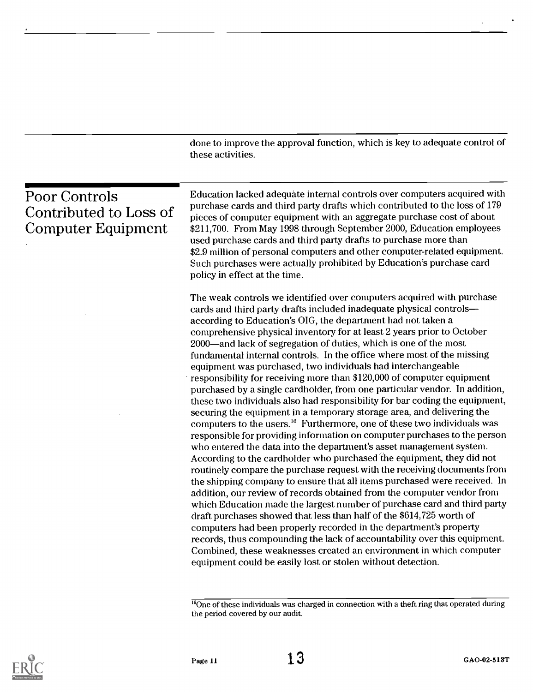|                                                                      | done to improve the approval function, which is key to adequate control of<br>these activities.                                                                                                                                                                                                                                                                                                                                                                                                                                                                                                                                                                                                                                                                                                                                                                                                                                                                                                                                                                                                                                                                                                                                                                                                                                                                                                                                                                                                                                                                                                                                                                                                                                                                                                                          |
|----------------------------------------------------------------------|--------------------------------------------------------------------------------------------------------------------------------------------------------------------------------------------------------------------------------------------------------------------------------------------------------------------------------------------------------------------------------------------------------------------------------------------------------------------------------------------------------------------------------------------------------------------------------------------------------------------------------------------------------------------------------------------------------------------------------------------------------------------------------------------------------------------------------------------------------------------------------------------------------------------------------------------------------------------------------------------------------------------------------------------------------------------------------------------------------------------------------------------------------------------------------------------------------------------------------------------------------------------------------------------------------------------------------------------------------------------------------------------------------------------------------------------------------------------------------------------------------------------------------------------------------------------------------------------------------------------------------------------------------------------------------------------------------------------------------------------------------------------------------------------------------------------------|
| <b>Poor Controls</b><br>Contributed to Loss of<br>Computer Equipment | Education lacked adequate internal controls over computers acquired with<br>purchase cards and third party drafts which contributed to the loss of 179<br>pieces of computer equipment with an aggregate purchase cost of about<br>\$211,700. From May 1998 through September 2000, Education employees<br>used purchase cards and third party drafts to purchase more than<br>\$2.9 million of personal computers and other computer-related equipment.<br>Such purchases were actually prohibited by Education's purchase card<br>policy in effect at the time.                                                                                                                                                                                                                                                                                                                                                                                                                                                                                                                                                                                                                                                                                                                                                                                                                                                                                                                                                                                                                                                                                                                                                                                                                                                        |
|                                                                      | The weak controls we identified over computers acquired with purchase<br>cards and third party drafts included inadequate physical controls-<br>according to Education's OIG, the department had not taken a<br>comprehensive physical inventory for at least 2 years prior to October<br>2000—and lack of segregation of duties, which is one of the most<br>fundamental internal controls. In the office where most of the missing<br>equipment was purchased, two individuals had interchangeable<br>responsibility for receiving more than \$120,000 of computer equipment<br>purchased by a single cardholder, from one particular vendor. In addition,<br>these two individuals also had responsibility for bar coding the equipment,<br>securing the equipment in a temporary storage area, and delivering the<br>computers to the users. <sup>16</sup> Furthermore, one of these two individuals was<br>responsible for providing information on computer purchases to the person<br>who entered the data into the department's asset management system.<br>According to the cardholder who purchased the equipment, they did not<br>routinely compare the purchase request with the receiving documents from<br>the shipping company to ensure that all items purchased were received. In<br>addition, our review of records obtained from the computer vendor from<br>which Education made the largest number of purchase card and third party<br>draft purchases showed that less than half of the \$614,725 worth of<br>computers had been properly recorded in the department's property<br>records, thus compounding the lack of accountability over this equipment.<br>Combined, these weaknesses created an environment in which computer<br>equipment could be easily lost or stolen without detection. |

 $\rm ^{16}$ One of these individuals was charged in connection with a theft ring that operated during the period covered by our audit.



 $\hat{\boldsymbol{\epsilon}}$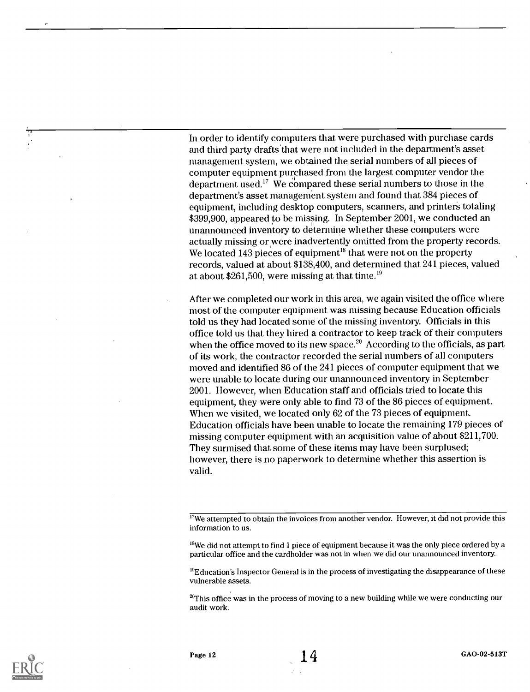In order to identify computers that were purchased with purchase cards and third party drafts'that were not included in the department's asset management system, we obtained the serial numbers of all pieces of computer equipment purchased from the largest computer vendor the department used.<sup>17</sup> We compared these serial numbers to those in the department's asset management system and found that 384 pieces of equipment, including desktop computers, scanners, and printers totaling \$399,900, appeared to be missing. In September 2001, we conducted an unannounced inventory to determine whether these computers were actually missing or were inadvertently omitted from the property records. We located 143 pieces of equipment<sup>18</sup> that were not on the property records, valued at about \$138,400, and determined that 241 pieces, valued at about \$261,500, were missing at that time.<sup>19</sup>

After we completed our work in this area, we again visited the office where most of the computer equipment was missing because Education officials told us they had located some of the missing inventory. Officials in this office told us that they hired a contractor to keep track of their computers when the office moved to its new space.<sup>20</sup> According to the officials, as part of its work, the contractor recorded the serial numbers of all computers moved and identified 86 of the 241 pieces of computer equipment that we were unable to locate during our unannounced inventory in September 2001. However, when Education staff and officials tried to locate this equipment, they were only able to find 73 of the 86 pieces of equipment. When we visited, we located only 62 of the 73 pieces of equipment. Education officials have been unable to locate the remaining 179 pieces of missing computer equipment with an acquisition value of about \$211,700. They surmised that some of these items may have been surplused; however, there is no paperwork to determine whether this assertion is valid.

 $\overline{N}$  We attempted to obtain the invoices from another vendor. However, it did not provide this information to us.

 $^{18}$ We did not attempt to find 1 piece of equipment because it was the only piece ordered by a particular office and the cardholder was not in when we did our unannounced inventory.

 $^{19}$ Education's Inspector General is in the process of investigating the disappearance of these vulnerable assets.

<sup>20</sup>This office was in the process of moving to a new building while we were conducting our audit work.

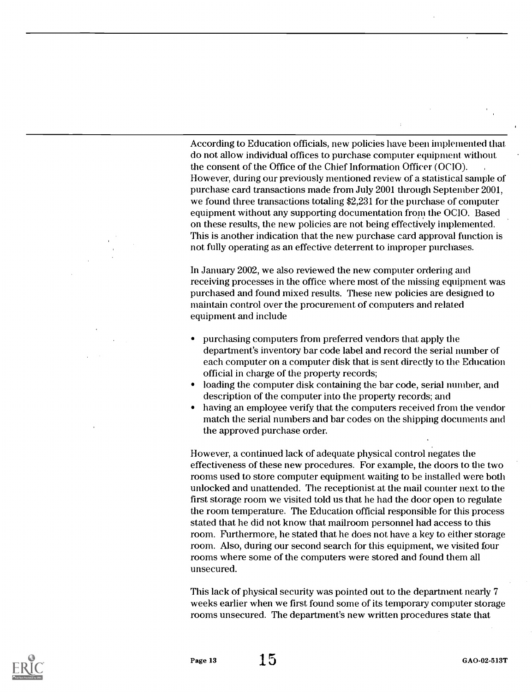According to Education officials, new policies have been implemented that do not allow individual offices to purchase computer equipment without the consent of the Office of the Chief Information Officer (OCIO). However, during our previously mentioned review of a statistical sample of purchase card transactions made from July 2001 through September 2001, we found three transactions totaling \$2,231 for the purchase of computer equipment without any supporting documentation from the OCIO. Based on these results, the new policies are not being effectively implemented. This is another indication that the new purchase card approval function is not fully operating as an effective deterrent to improper purchases.

In January 2002, we also reviewed the new computer ordering and receiving processes in the office where most of the missing equipment was purchased and found mixed results. These new policies are designed to maintain control over the procurement of computers and related equipment and include

- purchasing computers from preferred vendors that apply the department's inventory bar code label and record the serial number of each computer on a computer disk that is sent directly to the Education official in charge of the property records;
- loading the computer disk containing the bar code, serial number, and description of the computer into the property records; and
- having an employee verify that the computers received from the vendor match the serial numbers and bar codes on the shipping documents and the approved purchase order.

However, a continued lack of adequate physical control negates the effectiveness of these new procedures. For example, the doors to the two rooms used to store computer equipment waiting to be installed were both unlocked and unattended. The receptionist at the mail counter next to the first storage room we visited told us that he had the door open to regulate the room temperature. The Education official responsible for this process stated that he did not know that mailroom personnel had access to this room. Furthermore, he stated that he does not have a key to either storage room. Also, during our second search for this equipment, we visited four rooms where some of the computers were stored and found them all unsecured.

This lack of physical security was pointed out to the department nearly 7 weeks earlier when we first found some of its temporary computer storage rooms unsecured. The department's new written procedures state that

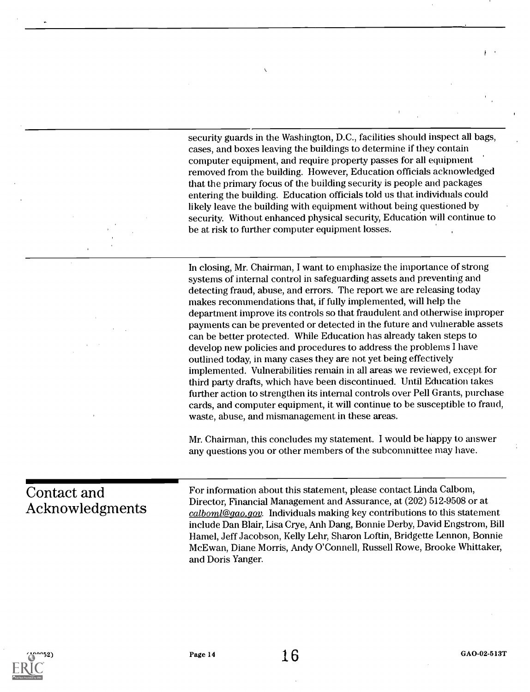security guards in the Washington, D.C., facilities should inspect all bags, cases, and boxes leaving the buildings to determine if they contain computer equipment, and require property passes for all equipment removed from the building. However, Education officials acknowledged that the primary focus of the building security is people and packages entering the building. Education officials told us that individuals could likely leave the building with equipment without being questioned by security. Without enhanced physical security, Education will continue to be at risk to further computer equipment losses.

In closing, Mr. Chairman, I want to emphasize the importance of strong systems of internal control in safeguarding assets and preventing and detecting fraud, abuse, and errors. The report we are releasing today makes recommendations that, if fully implemented, will help the department improve its controls so that fraudulent and otherwise improper payments can be prevented or detected in the future and vulnerable assets can be better protected. While Education has already taken steps to develop new policies and procedures to address the problems I have outlined today, in many cases they are not yet being effectively implemented. Vulnerabilities remain in all areas we reviewed, except for third party drafts, which have been discontinued. Until Education takes further action to strengthen its internal controls over Pell Grants, purchase cards, and computer equipment, it will continue to be susceptible to fraud, waste, abuse, and mismanagement in these areas.

Mr. Chairman, this concludes my statement. I would be happy to answer any questions you or other members of the subcommittee may have.

#### Contact and Acknowledgments

For information about this statement, please contact Linda Calbom, Director, Financial Management and Assurance, at (202) 512-9508 or at calboml@gao,gov. Individuals making key contributions to this statement include Dan Blair, Lisa Crye, Anh Dang, Bonnie Derby, David Engstrom, Bill Hamel, Jeff Jacobson, Kelly Lehr, Sharon Loftin, Bridgette Lennon, Bonnie Mc Ewan, Diane Morris, Andy O'Connell, Russell Rowe, Brooke Whittaker, and Doris Yanger.



f